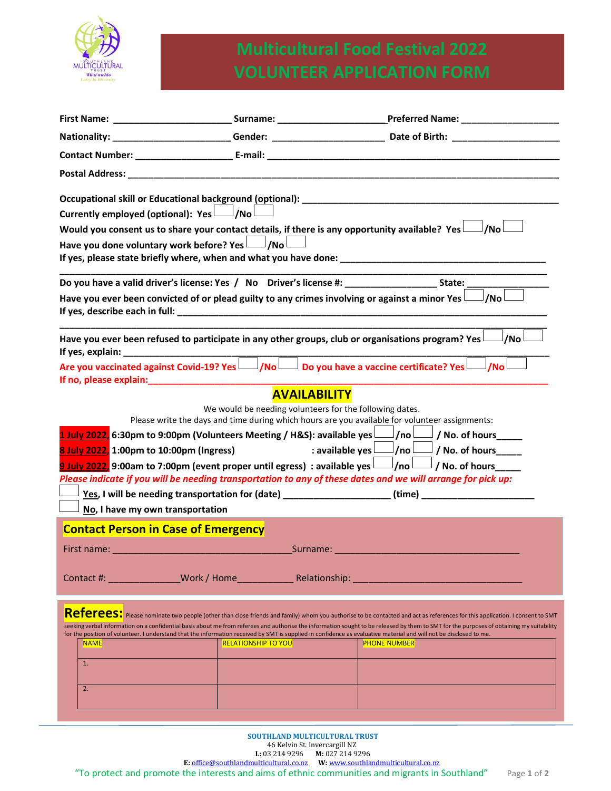

|             |                                                                                                                                                                                                                                |                                                         |                                               | Preferred Name: ______________________                                                                                                                                                                                                                                                                                                                                                                                                                                                                                                                                                            |
|-------------|--------------------------------------------------------------------------------------------------------------------------------------------------------------------------------------------------------------------------------|---------------------------------------------------------|-----------------------------------------------|---------------------------------------------------------------------------------------------------------------------------------------------------------------------------------------------------------------------------------------------------------------------------------------------------------------------------------------------------------------------------------------------------------------------------------------------------------------------------------------------------------------------------------------------------------------------------------------------------|
|             |                                                                                                                                                                                                                                |                                                         |                                               | Nationality: __________________________Gender: ________________________________Date of Birth: _______________________                                                                                                                                                                                                                                                                                                                                                                                                                                                                             |
|             |                                                                                                                                                                                                                                |                                                         |                                               |                                                                                                                                                                                                                                                                                                                                                                                                                                                                                                                                                                                                   |
|             |                                                                                                                                                                                                                                |                                                         |                                               |                                                                                                                                                                                                                                                                                                                                                                                                                                                                                                                                                                                                   |
|             | Currently employed (optional): $Yes$ $\Box$ /No<br>Have you done voluntary work before? Yes $\Box$ /No $\Box$                                                                                                                  |                                                         |                                               | Would you consent us to share your contact details, if there is any opportunity available? Yes<br>J/Nol                                                                                                                                                                                                                                                                                                                                                                                                                                                                                           |
|             |                                                                                                                                                                                                                                |                                                         |                                               |                                                                                                                                                                                                                                                                                                                                                                                                                                                                                                                                                                                                   |
|             |                                                                                                                                                                                                                                |                                                         |                                               | Have you ever been convicted of or plead guilty to any crimes involving or against a minor Yes $\Box$ /No $\Box$                                                                                                                                                                                                                                                                                                                                                                                                                                                                                  |
|             |                                                                                                                                                                                                                                |                                                         | <u> 1989 - Johann John Stone, mars et al.</u> | Have you ever been refused to participate in any other groups, club or organisations program? Yes $\Box$<br>∫No                                                                                                                                                                                                                                                                                                                                                                                                                                                                                   |
|             | If no, please explain: The contract of the contract of the contract of the contract of the contract of the contract of the contract of the contract of the contract of the contract of the contract of the contract of the con |                                                         |                                               | Are you vaccinated against Covid-19? Yes $\Box$ /No $\Box$ Do you have a vaccine certificate? Yes $\Box$ /No                                                                                                                                                                                                                                                                                                                                                                                                                                                                                      |
|             | 8 July 2022, 1:00pm to 10:00pm (Ingress)<br>No, I have my own transportation                                                                                                                                                   | We would be needing volunteers for the following dates. | <b>AVAILABILITY</b>                           | Please write the days and time during which hours are you available for volunteer assignments:<br>1 July 2022, 6:30pm to 9:00pm (Volunteers Meeting / H&S): available yes $\Box$ /no $\Box$ /No. of hours<br>: available yes $\Box$ /no $\Box$ /No. of hours<br>9 July 2022, 9:00am to 7:00pm (event proper until egress) : available yes $\Box$ /no $\Box$ / No. of hours<br>Please indicate if you will be needing transportation to any of these dates and we will arrange for pick up:<br>Yes, I will be needing transportation for (date) __________________(time) _________________________ |
|             | <b>Contact Person in Case of Emergency</b>                                                                                                                                                                                     |                                                         |                                               |                                                                                                                                                                                                                                                                                                                                                                                                                                                                                                                                                                                                   |
|             |                                                                                                                                                                                                                                |                                                         |                                               | <b>Surname:</b> All the state of the state of the state of the state of the state of the state of the state of the state of the state of the state of the state of the state of the state of the state of the state of the state of                                                                                                                                                                                                                                                                                                                                                               |
|             |                                                                                                                                                                                                                                |                                                         |                                               | Referees: Please nominate two people (other than close friends and family) whom you authorise to be contacted and act as references for this application. I consent to SMT<br>seeking verbal information on a confidential basis about me from referees and authorise the information sought to be released by them to SMT for the purposes of obtaining my suitability                                                                                                                                                                                                                           |
| <b>NAME</b> |                                                                                                                                                                                                                                | <b>RELATIONSHIP TO YOU</b>                              |                                               | for the position of volunteer. I understand that the information received by SMT is supplied in confidence as evaluative material and will not be disclosed to me.<br><b>PHONE NUMBER</b>                                                                                                                                                                                                                                                                                                                                                                                                         |
| 1.          |                                                                                                                                                                                                                                |                                                         |                                               |                                                                                                                                                                                                                                                                                                                                                                                                                                                                                                                                                                                                   |
| 2.          |                                                                                                                                                                                                                                |                                                         |                                               |                                                                                                                                                                                                                                                                                                                                                                                                                                                                                                                                                                                                   |
|             |                                                                                                                                                                                                                                |                                                         |                                               |                                                                                                                                                                                                                                                                                                                                                                                                                                                                                                                                                                                                   |